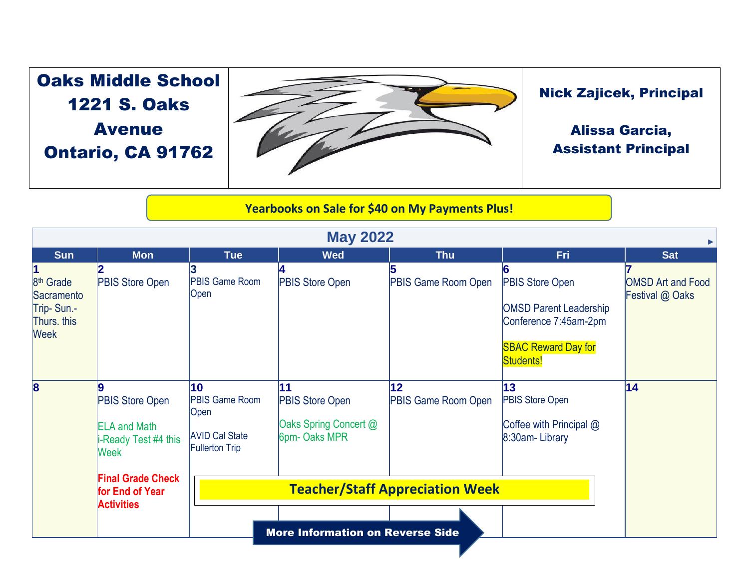## Oaks Middle School 1221 S. Oaks Avenue Ontario, CA 91762



## Nick Zajicek, Principal

## Alissa Garcia, Assistant Principal

## **Yearbooks on Sale for \$40 on My Payments Plus!**

| <b>May 2022</b>                                                                       |                                                                                     |                                                                                       |                                                                        |                                  |                                                                                                                             |                                             |  |  |  |  |
|---------------------------------------------------------------------------------------|-------------------------------------------------------------------------------------|---------------------------------------------------------------------------------------|------------------------------------------------------------------------|----------------------------------|-----------------------------------------------------------------------------------------------------------------------------|---------------------------------------------|--|--|--|--|
| <b>Sun</b>                                                                            | <b>Mon</b>                                                                          | <b>Tue</b>                                                                            | <b>Wed</b>                                                             | <b>Thu</b>                       | Fri                                                                                                                         | <b>Sat</b>                                  |  |  |  |  |
| 11<br>8 <sup>th</sup> Grade<br>Sacramento<br>Trip-Sun.-<br>Thurs. this<br><b>Week</b> | <b>PBIS Store Open</b>                                                              | PBIS Game Room<br>Open                                                                | <b>PBIS Store Open</b>                                                 | <b>PBIS Game Room Open</b>       | <b>PBIS Store Open</b><br><b>OMSD Parent Leadership</b><br>Conference 7:45am-2pm<br><b>SBAC Reward Day for</b><br>Students! | <b>OMSD Art and Food</b><br>Festival @ Oaks |  |  |  |  |
| $\overline{\mathbf{8}}$                                                               | Ι9<br>PBIS Store Open<br><b>ELA and Math</b><br>i-Ready Test #4 this<br><b>Week</b> | 10<br><b>PBIS Game Room</b><br>Open<br><b>AVID Cal State</b><br><b>Fullerton Trip</b> | 11<br><b>PBIS Store Open</b><br>Oaks Spring Concert @<br>6pm- Oaks MPR | 12<br><b>PBIS Game Room Open</b> | 13<br><b>PBIS Store Open</b><br>Coffee with Principal @<br>8:30am-Library                                                   | 14                                          |  |  |  |  |
|                                                                                       | <b>Final Grade Check</b><br>for End of Year<br><b>Activities</b>                    |                                                                                       | <b>Teacher/Staff Appreciation Week</b>                                 |                                  |                                                                                                                             |                                             |  |  |  |  |
|                                                                                       |                                                                                     |                                                                                       |                                                                        |                                  |                                                                                                                             |                                             |  |  |  |  |
|                                                                                       |                                                                                     | <b>More Information on Reverse Side</b>                                               |                                                                        |                                  |                                                                                                                             |                                             |  |  |  |  |